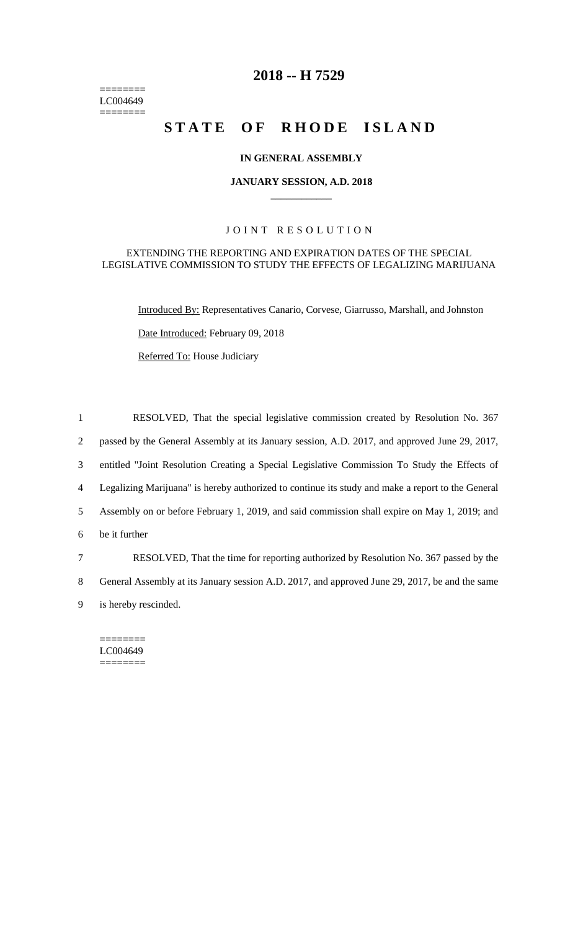======== LC004649  $=$ 

# **2018 -- H 7529**

# **STATE OF RHODE ISLAND**

## **IN GENERAL ASSEMBLY**

### **JANUARY SESSION, A.D. 2018 \_\_\_\_\_\_\_\_\_\_\_\_**

## JOINT RESOLUTION

## EXTENDING THE REPORTING AND EXPIRATION DATES OF THE SPECIAL LEGISLATIVE COMMISSION TO STUDY THE EFFECTS OF LEGALIZING MARIJUANA

Introduced By: Representatives Canario, Corvese, Giarrusso, Marshall, and Johnston

Date Introduced: February 09, 2018

Referred To: House Judiciary

 RESOLVED, That the special legislative commission created by Resolution No. 367 passed by the General Assembly at its January session, A.D. 2017, and approved June 29, 2017, entitled "Joint Resolution Creating a Special Legislative Commission To Study the Effects of Legalizing Marijuana" is hereby authorized to continue its study and make a report to the General Assembly on or before February 1, 2019, and said commission shall expire on May 1, 2019; and be it further RESOLVED, That the time for reporting authorized by Resolution No. 367 passed by the General Assembly at its January session A.D. 2017, and approved June 29, 2017, be and the same is hereby rescinded.

======== LC004649 ========